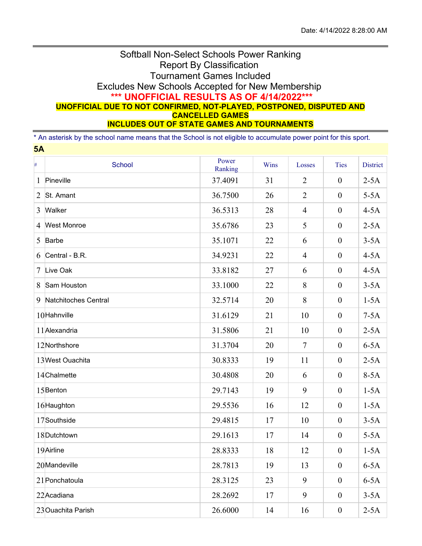## Softball Non-Select Schools Power Ranking Report By Classification Tournament Games Included Excludes New Schools Accepted for New Membership **\*\*\* UNOFFICIAL RESULTS AS OF 4/14/2022\*\*\* UNOFFICIAL DUE TO NOT CONFIRMED, NOT-PLAYED, POSTPONED, DISPUTED AND CANCELLED GAMES INCLUDES OUT OF STATE GAMES AND TOURNAMENTS**

\* An asterisk by the school name means that the School is not eligible to accumulate power point for this sport.

|        | 5A                   |                  |      |                |                  |                 |  |
|--------|----------------------|------------------|------|----------------|------------------|-----------------|--|
| $\#$   | School               | Power<br>Ranking | Wins | Losses         | Ties             | <b>District</b> |  |
| 1      | Pineville            | 37.4091          | 31   | $\overline{2}$ | $\boldsymbol{0}$ | $2-5A$          |  |
| 2      | St. Amant            | 36.7500          | 26   | $\overline{2}$ | $\overline{0}$   | $5-5A$          |  |
| 3      | Walker               | 36.5313          | 28   | $\overline{4}$ | $\boldsymbol{0}$ | $4-5A$          |  |
| 4      | <b>West Monroe</b>   | 35.6786          | 23   | 5              | $\boldsymbol{0}$ | $2-5A$          |  |
| 5      | Barbe                | 35.1071          | 22   | 6              | $\boldsymbol{0}$ | $3-5A$          |  |
| 6      | Central - B.R.       | 34.9231          | 22   | $\overline{4}$ | $\boldsymbol{0}$ | $4-5A$          |  |
| $\tau$ | Live Oak             | 33.8182          | 27   | 6              | $\boldsymbol{0}$ | $4-5A$          |  |
| 8      | Sam Houston          | 33.1000          | 22   | 8              | $\boldsymbol{0}$ | $3-5A$          |  |
| 9      | Natchitoches Central | 32.5714          | 20   | 8              | $\boldsymbol{0}$ | $1-5A$          |  |
|        | 10Hahnville          | 31.6129          | 21   | 10             | $\boldsymbol{0}$ | $7-5A$          |  |
|        | 11 Alexandria        | 31.5806          | 21   | 10             | $\boldsymbol{0}$ | $2-5A$          |  |
|        | 12Northshore         | 31.3704          | 20   | $\overline{7}$ | $\boldsymbol{0}$ | $6-5A$          |  |
|        | 13 West Ouachita     | 30.8333          | 19   | 11             | $\boldsymbol{0}$ | $2-5A$          |  |
|        | 14Chalmette          | 30.4808          | 20   | 6              | $\boldsymbol{0}$ | $8-5A$          |  |
|        | 15 Benton            | 29.7143          | 19   | 9              | $\boldsymbol{0}$ | $1-5A$          |  |
|        | 16Haughton           | 29.5536          | 16   | 12             | $\boldsymbol{0}$ | $1-5A$          |  |
|        | 17Southside          | 29.4815          | 17   | 10             | $\boldsymbol{0}$ | $3-5A$          |  |
|        | 18Dutchtown          | 29.1613          | 17   | 14             | $\boldsymbol{0}$ | $5-5A$          |  |
|        | 19Airline            | 28.8333          | 18   | 12             | $\boldsymbol{0}$ | $1-5A$          |  |
|        | 20Mandeville         | 28.7813          | 19   | 13             | $\boldsymbol{0}$ | $6-5A$          |  |
|        | 21 Ponchatoula       | 28.3125          | 23   | 9              | $\boldsymbol{0}$ | $6-5A$          |  |
|        | 22 Acadiana          | 28.2692          | 17   | 9              | $\boldsymbol{0}$ | $3-5A$          |  |
|        | 23 Ouachita Parish   | 26.6000          | 14   | 16             | $\boldsymbol{0}$ | $2-5A$          |  |